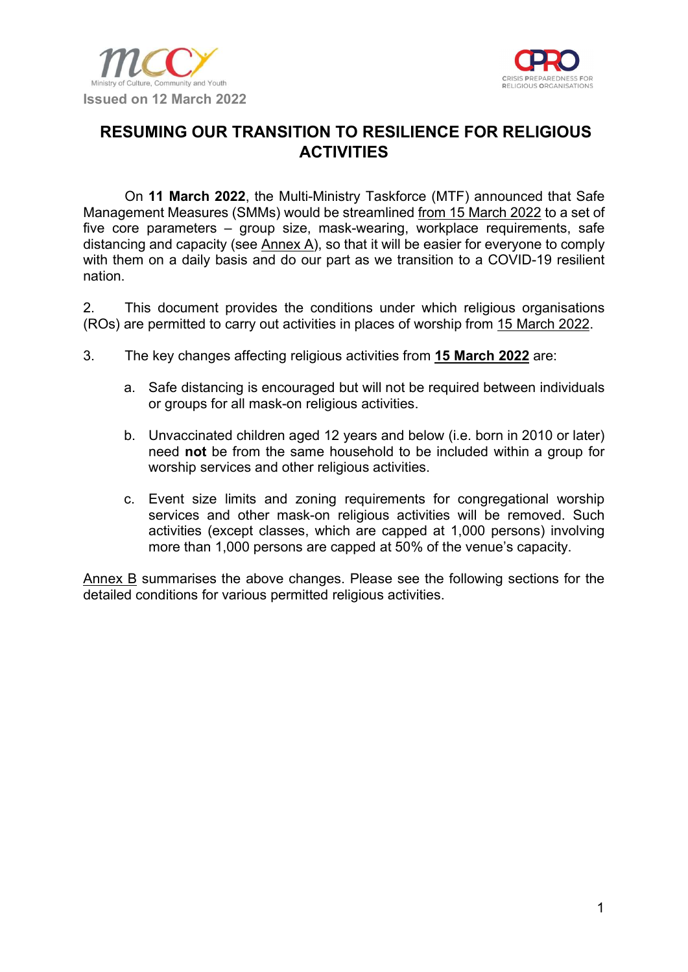



# RESUMING OUR TRANSITION TO RESILIENCE FOR RELIGIOUS **ACTIVITIES**

On 11 March 2022, the Multi-Ministry Taskforce (MTF) announced that Safe Management Measures (SMMs) would be streamlined from 15 March 2022 to a set of five core parameters – group size, mask-wearing, workplace requirements, safe distancing and capacity (see  $\frac{\text{Annex A}}{\text{A}}$ ), so that it will be easier for everyone to comply with them on a daily basis and do our part as we transition to a COVID-19 resilient nation.

2. This document provides the conditions under which religious organisations (ROs) are permitted to carry out activities in places of worship from 15 March 2022.

- 3. The key changes affecting religious activities from 15 March 2022 are:
	- a. Safe distancing is encouraged but will not be required between individuals or groups for all mask-on religious activities.
	- b. Unvaccinated children aged 12 years and below (i.e. born in 2010 or later) need not be from the same household to be included within a group for worship services and other religious activities.
	- c. Event size limits and zoning requirements for congregational worship services and other mask-on religious activities will be removed. Such activities (except classes, which are capped at 1,000 persons) involving more than 1,000 persons are capped at 50% of the venue's capacity.

Annex B summarises the above changes. Please see the following sections for the detailed conditions for various permitted religious activities.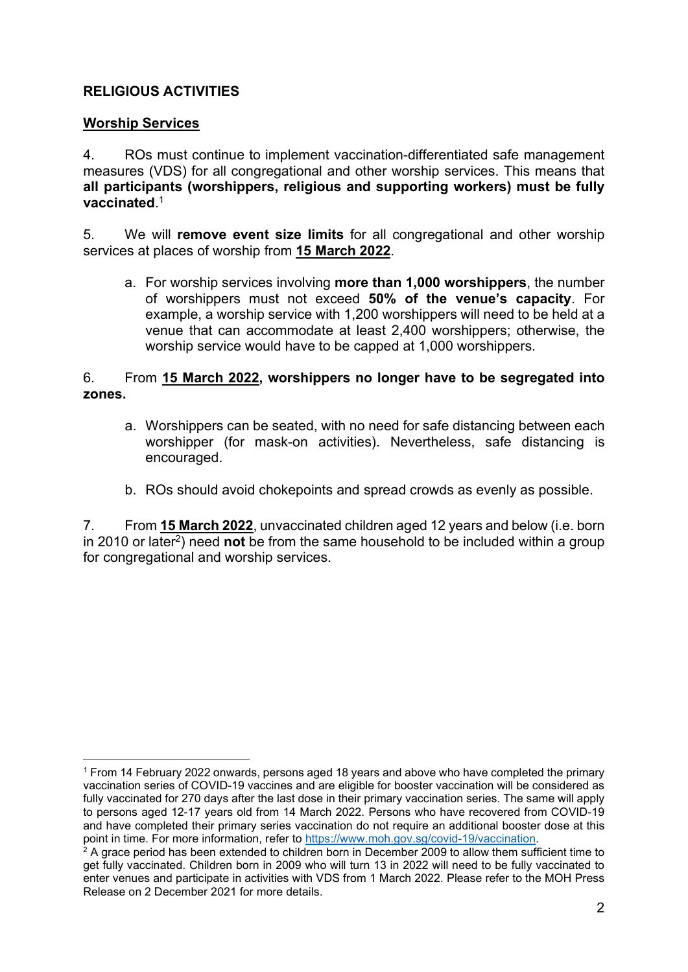## RELIGIOUS ACTIVITIES

#### Worship Services

4. ROs must continue to implement vaccination-differentiated safe management measures (VDS) for all congregational and other worship services. This means that all participants (worshippers, religious and supporting workers) must be fully vaccinated. 1

5. We will remove event size limits for all congregational and other worship services at places of worship from 15 March 2022.

a. For worship services involving more than 1,000 worshippers, the number of worshippers must not exceed 50% of the venue's capacity. For example, a worship service with 1,200 worshippers will need to be held at a venue that can accommodate at least 2,400 worshippers; otherwise, the worship service would have to be capped at 1,000 worshippers.

#### 6. From 15 March 2022, worshippers no longer have to be segregated into zones.

- a. Worshippers can be seated, with no need for safe distancing between each worshipper (for mask-on activities). Nevertheless, safe distancing is encouraged.
- b. ROs should avoid chokepoints and spread crowds as evenly as possible.

7. From 15 March 2022, unvaccinated children aged 12 years and below (i.e. born in 2010 or later<sup>2</sup>) need **not** be from the same household to be included within a group for congregational and worship services.

<sup>1</sup> From 14 February 2022 onwards, persons aged 18 years and above who have completed the primary vaccination series of COVID-19 vaccines and are eligible for booster vaccination will be considered as fully vaccinated for 270 days after the last dose in their primary vaccination series. The same will apply to persons aged 12-17 years old from 14 March 2022. Persons who have recovered from COVID-19 and have completed their primary series vaccination do not require an additional booster dose at this point in time. For more information, refer to https://www.moh.gov.sg/covid-19/vaccination.

 $^{\rm 2}$  A grace period has been extended to children born in December 2009 to allow them sufficient time to get fully vaccinated. Children born in 2009 who will turn 13 in 2022 will need to be fully vaccinated to enter venues and participate in activities with VDS from 1 March 2022. Please refer to the MOH Press Release on 2 December 2021 for more details.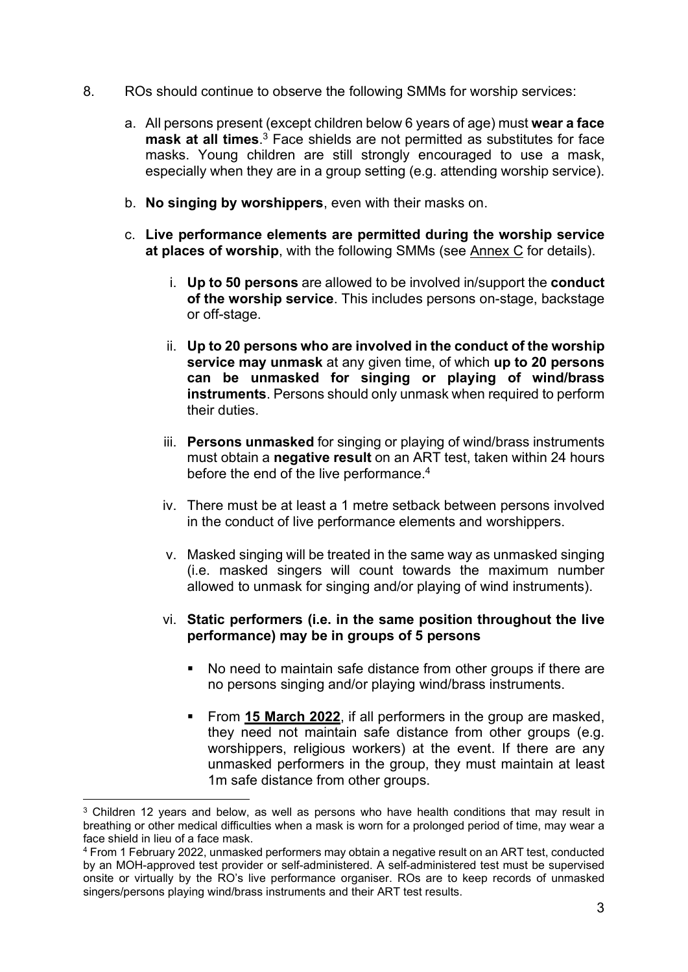- 8. ROs should continue to observe the following SMMs for worship services:
	- a. All persons present (except children below 6 years of age) must wear a face  $\text{mask}$  at all times.<sup>3</sup> Face shields are not permitted as substitutes for face masks. Young children are still strongly encouraged to use a mask, especially when they are in a group setting (e.g. attending worship service).
	- b. No singing by worshippers, even with their masks on.
	- c. Live performance elements are permitted during the worship service at places of worship, with the following SMMs (see Annex C for details).
		- i. Up to 50 persons are allowed to be involved in/support the conduct of the worship service. This includes persons on-stage, backstage or off-stage.
		- ii. Up to 20 persons who are involved in the conduct of the worship service may unmask at any given time, of which up to 20 persons can be unmasked for singing or playing of wind/brass instruments. Persons should only unmask when required to perform their duties.
		- iii. Persons unmasked for singing or playing of wind/brass instruments must obtain a negative result on an ART test, taken within 24 hours before the end of the live performance.<sup>4</sup>
		- iv. There must be at least a 1 metre setback between persons involved in the conduct of live performance elements and worshippers.
		- v. Masked singing will be treated in the same way as unmasked singing (i.e. masked singers will count towards the maximum number allowed to unmask for singing and/or playing of wind instruments).

#### vi. Static performers (i.e. in the same position throughout the live performance) may be in groups of 5 persons

- No need to maintain safe distance from other groups if there are no persons singing and/or playing wind/brass instruments.
- From 15 March 2022, if all performers in the group are masked, they need not maintain safe distance from other groups (e.g. worshippers, religious workers) at the event. If there are any unmasked performers in the group, they must maintain at least 1m safe distance from other groups.

<sup>&</sup>lt;sup>3</sup> Children 12 years and below, as well as persons who have health conditions that may result in breathing or other medical difficulties when a mask is worn for a prolonged period of time, may wear a face shield in lieu of a face mask.

<sup>4</sup> From 1 February 2022, unmasked performers may obtain a negative result on an ART test, conducted by an MOH-approved test provider or self-administered. A self-administered test must be supervised onsite or virtually by the RO's live performance organiser. ROs are to keep records of unmasked singers/persons playing wind/brass instruments and their ART test results.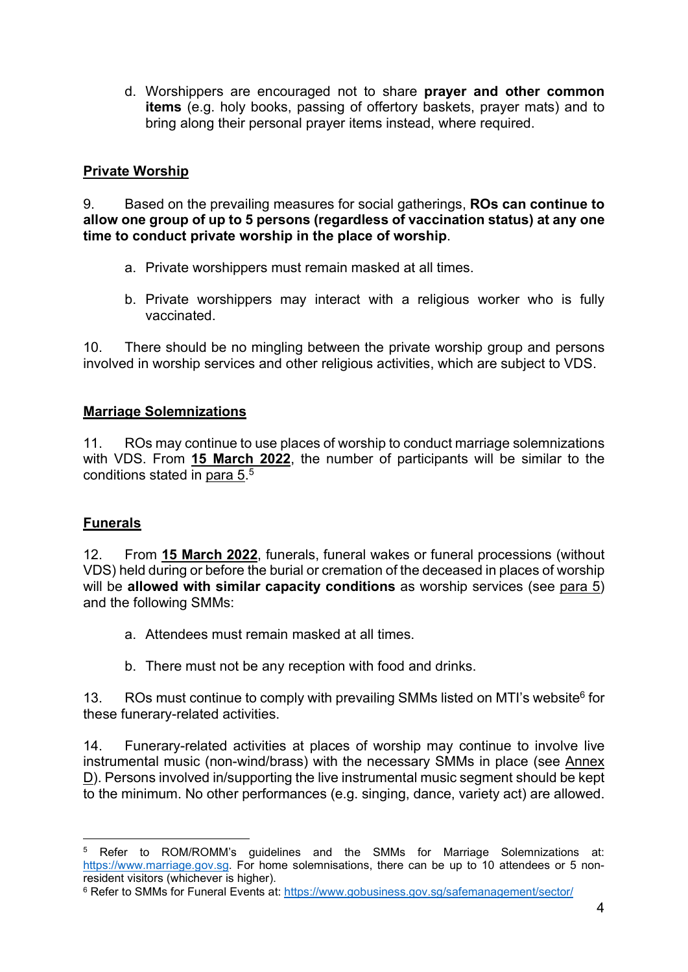d. Worshippers are encouraged not to share prayer and other common items (e.g. holy books, passing of offertory baskets, prayer mats) and to bring along their personal prayer items instead, where required.

## Private Worship

9. Based on the prevailing measures for social gatherings, ROs can continue to allow one group of up to 5 persons (regardless of vaccination status) at any one time to conduct private worship in the place of worship.

- a. Private worshippers must remain masked at all times.
- b. Private worshippers may interact with a religious worker who is fully vaccinated.

10. There should be no mingling between the private worship group and persons involved in worship services and other religious activities, which are subject to VDS.

## Marriage Solemnizations

11. ROs may continue to use places of worship to conduct marriage solemnizations with VDS. From 15 March 2022, the number of participants will be similar to the conditions stated in para 5.<sup>5</sup>

# Funerals

12. From 15 March 2022, funerals, funeral wakes or funeral processions (without VDS) held during or before the burial or cremation of the deceased in places of worship will be allowed with similar capacity conditions as worship services (see para 5) and the following SMMs:

- a. Attendees must remain masked at all times.
- b. There must not be any reception with food and drinks.

13. ROs must continue to comply with prevailing SMMs listed on MTI's website<sup>6</sup> for these funerary-related activities.

14. Funerary-related activities at places of worship may continue to involve live instrumental music (non-wind/brass) with the necessary SMMs in place (see Annex D). Persons involved in/supporting the live instrumental music segment should be kept to the minimum. No other performances (e.g. singing, dance, variety act) are allowed.

<sup>5</sup> Refer to ROM/ROMM's guidelines and the SMMs for Marriage Solemnizations at: https://www.marriage.gov.sg. For home solemnisations, there can be up to 10 attendees or 5 nonresident visitors (whichever is higher).

<sup>&</sup>lt;sup>6</sup> Refer to SMMs for Funeral Events at: https://www.gobusiness.gov.sg/safemanagement/sector/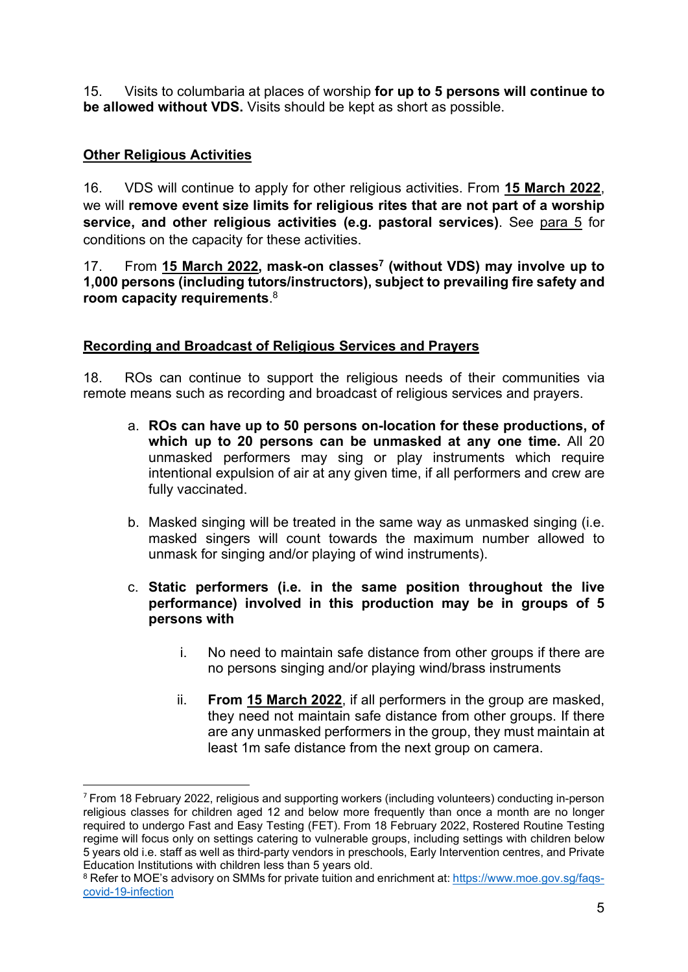15. Visits to columbaria at places of worship for up to 5 persons will continue to be allowed without VDS. Visits should be kept as short as possible.

## Other Religious Activities

16. VDS will continue to apply for other religious activities. From 15 March 2022, we will remove event size limits for religious rites that are not part of a worship service, and other religious activities (e.g. pastoral services). See para 5 for conditions on the capacity for these activities.

17. From 15 March 2022, mask-on classes<sup>7</sup> (without VDS) may involve up to 1,000 persons (including tutors/instructors), subject to prevailing fire safety and room capacity requirements. 8

#### Recording and Broadcast of Religious Services and Prayers

18. ROs can continue to support the religious needs of their communities via remote means such as recording and broadcast of religious services and prayers.

- a. ROs can have up to 50 persons on-location for these productions, of which up to 20 persons can be unmasked at any one time. All 20 unmasked performers may sing or play instruments which require intentional expulsion of air at any given time, if all performers and crew are fully vaccinated.
- b. Masked singing will be treated in the same way as unmasked singing (i.e. masked singers will count towards the maximum number allowed to unmask for singing and/or playing of wind instruments).
- c. Static performers (i.e. in the same position throughout the live performance) involved in this production may be in groups of 5 persons with
	- i. No need to maintain safe distance from other groups if there are no persons singing and/or playing wind/brass instruments
	- ii. From 15 March 2022, if all performers in the group are masked, they need not maintain safe distance from other groups. If there are any unmasked performers in the group, they must maintain at least 1m safe distance from the next group on camera.

<sup>7</sup> From 18 February 2022, religious and supporting workers (including volunteers) conducting in-person religious classes for children aged 12 and below more frequently than once a month are no longer required to undergo Fast and Easy Testing (FET). From 18 February 2022, Rostered Routine Testing regime will focus only on settings catering to vulnerable groups, including settings with children below 5 years old i.e. staff as well as third-party vendors in preschools, Early Intervention centres, and Private Education Institutions with children less than 5 years old.

 $^8$  Refer to MOE's advisory on SMMs for private tuition and enrichment at: <u>https://www.moe.gov.sg/faqs</u>covid-19-infection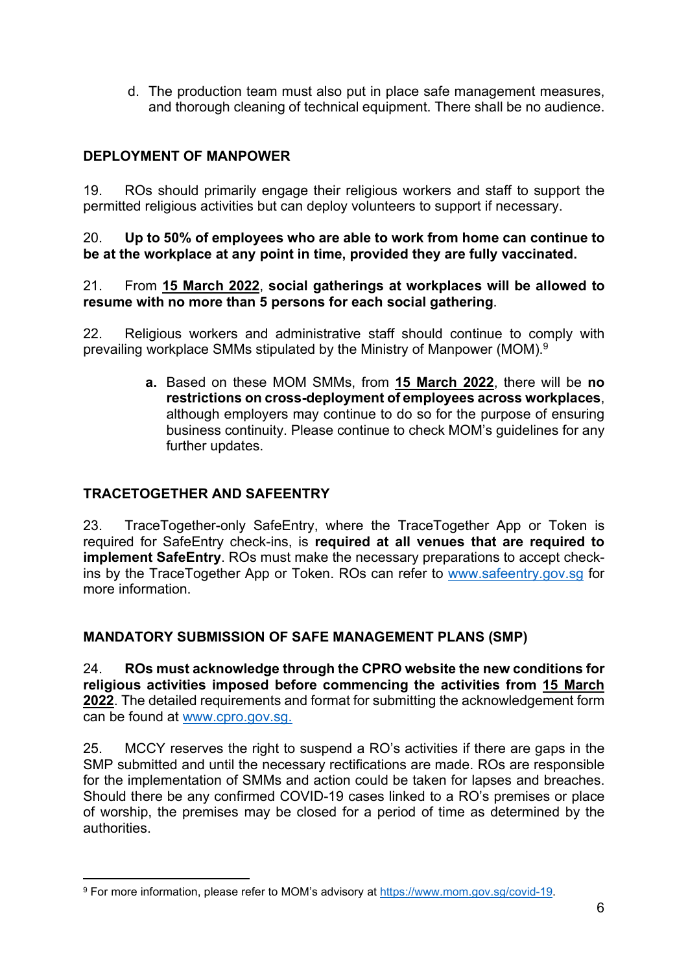d. The production team must also put in place safe management measures, and thorough cleaning of technical equipment. There shall be no audience.

## DEPLOYMENT OF MANPOWER

19. ROs should primarily engage their religious workers and staff to support the permitted religious activities but can deploy volunteers to support if necessary.

20. Up to 50% of employees who are able to work from home can continue to be at the workplace at any point in time, provided they are fully vaccinated.

21. From 15 March 2022, social gatherings at workplaces will be allowed to resume with no more than 5 persons for each social gathering.

22. Religious workers and administrative staff should continue to comply with prevailing workplace SMMs stipulated by the Ministry of Manpower (MOM).<sup>9</sup>

> a. Based on these MOM SMMs, from 15 March 2022, there will be no restrictions on cross-deployment of employees across workplaces, although employers may continue to do so for the purpose of ensuring business continuity. Please continue to check MOM's guidelines for any further updates.

#### TRACETOGETHER AND SAFEENTRY

23. TraceTogether-only SafeEntry, where the TraceTogether App or Token is required for SafeEntry check-ins, is required at all venues that are required to implement SafeEntry. ROs must make the necessary preparations to accept checkins by the TraceTogether App or Token. ROs can refer to www.safeentry.gov.sg for more information.

#### MANDATORY SUBMISSION OF SAFE MANAGEMENT PLANS (SMP)

24. ROs must acknowledge through the CPRO website the new conditions for religious activities imposed before commencing the activities from 15 March 2022. The detailed requirements and format for submitting the acknowledgement form can be found at www.cpro.gov.sg.

25. MCCY reserves the right to suspend a RO's activities if there are gaps in the SMP submitted and until the necessary rectifications are made. ROs are responsible for the implementation of SMMs and action could be taken for lapses and breaches. Should there be any confirmed COVID-19 cases linked to a RO's premises or place of worship, the premises may be closed for a period of time as determined by the authorities.

<sup>9</sup> For more information, please refer to MOM's advisory at https://www.mom.gov.sg/covid-19.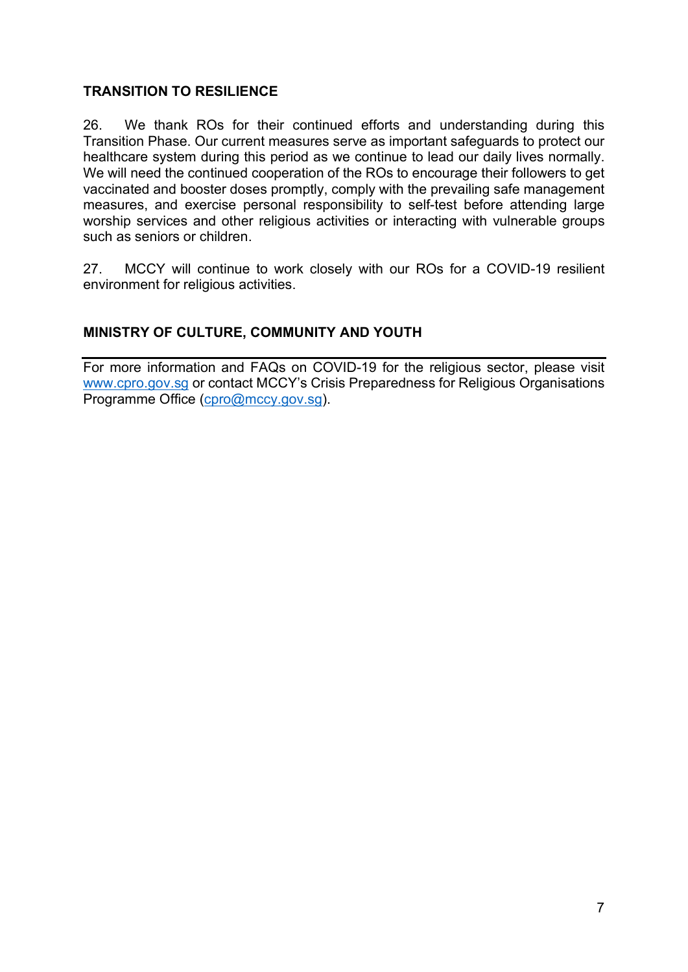#### TRANSITION TO RESILIENCE

26. We thank ROs for their continued efforts and understanding during this Transition Phase. Our current measures serve as important safeguards to protect our healthcare system during this period as we continue to lead our daily lives normally. We will need the continued cooperation of the ROs to encourage their followers to get vaccinated and booster doses promptly, comply with the prevailing safe management measures, and exercise personal responsibility to self-test before attending large worship services and other religious activities or interacting with vulnerable groups such as seniors or children.

27. MCCY will continue to work closely with our ROs for a COVID-19 resilient environment for religious activities.

# MINISTRY OF CULTURE, COMMUNITY AND YOUTH

For more information and FAQs on COVID-19 for the religious sector, please visit www.cpro.gov.sg or contact MCCY's Crisis Preparedness for Religious Organisations Programme Office (cpro@mccy.gov.sg).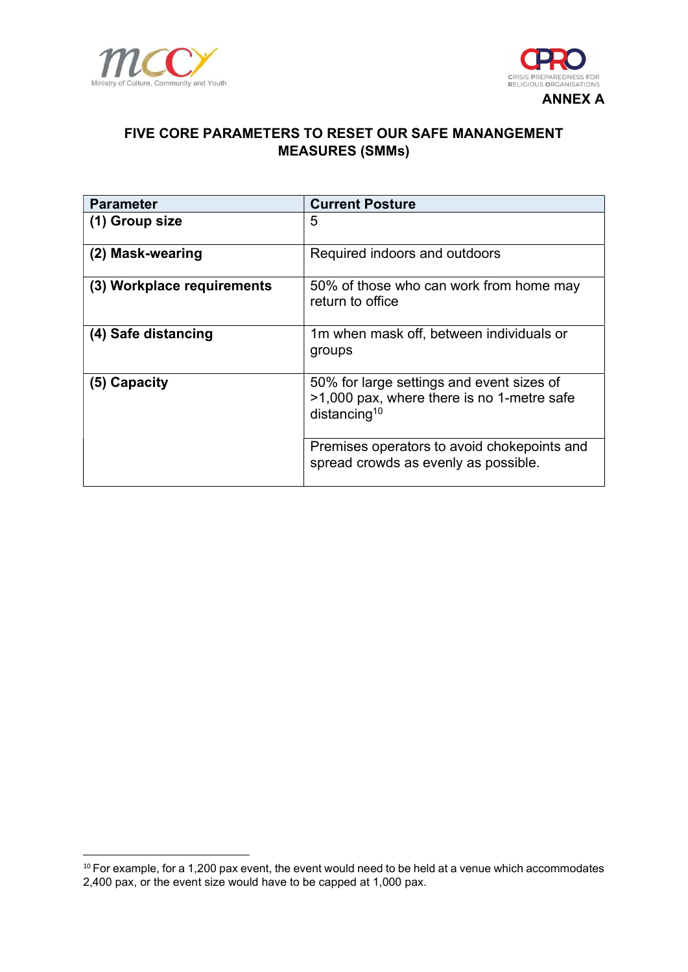



## FIVE CORE PARAMETERS TO RESET OUR SAFE MANANGEMENT MEASURES (SMMs)

| <b>Parameter</b>           | <b>Current Posture</b>                                                                                              |
|----------------------------|---------------------------------------------------------------------------------------------------------------------|
| (1) Group size             | 5                                                                                                                   |
| (2) Mask-wearing           | Required indoors and outdoors                                                                                       |
| (3) Workplace requirements | 50% of those who can work from home may<br>return to office                                                         |
| (4) Safe distancing        | 1m when mask off, between individuals or<br>groups                                                                  |
| (5) Capacity               | 50% for large settings and event sizes of<br>>1,000 pax, where there is no 1-metre safe<br>distancing <sup>10</sup> |
|                            | Premises operators to avoid chokepoints and<br>spread crowds as evenly as possible.                                 |

 $10$  For example, for a 1,200 pax event, the event would need to be held at a venue which accommodates 2,400 pax, or the event size would have to be capped at 1,000 pax.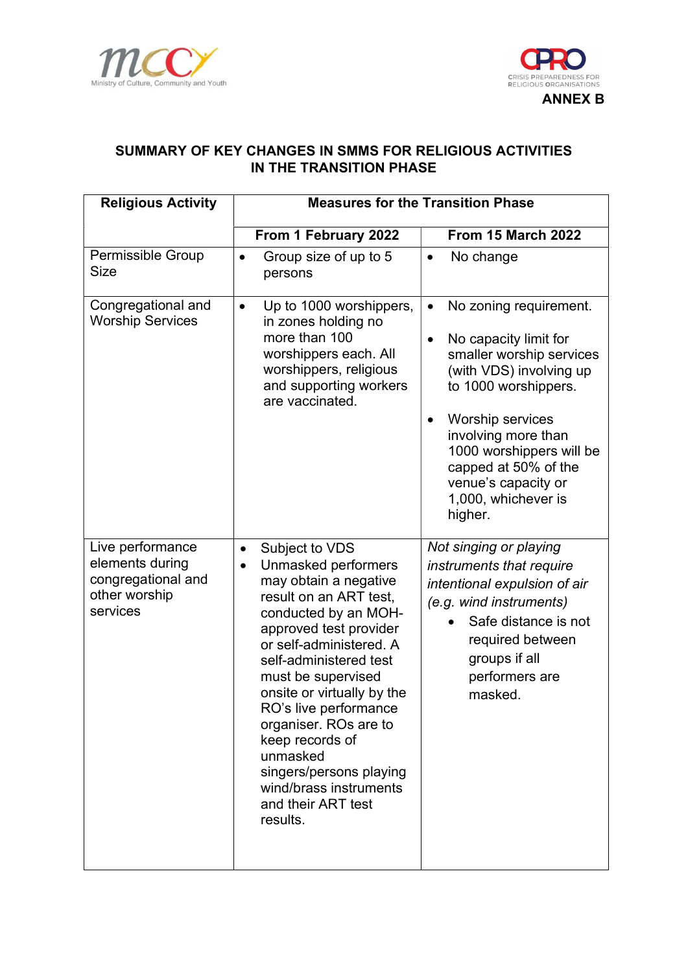



# SUMMARY OF KEY CHANGES IN SMMS FOR RELIGIOUS ACTIVITIES IN THE TRANSITION PHASE

| <b>Religious Activity</b>                                                              | <b>Measures for the Transition Phase</b>                                                                                                                                                                                                                                                                                                                                                                                                              |                                                                                                                                                                                                                                                                                                                               |  |
|----------------------------------------------------------------------------------------|-------------------------------------------------------------------------------------------------------------------------------------------------------------------------------------------------------------------------------------------------------------------------------------------------------------------------------------------------------------------------------------------------------------------------------------------------------|-------------------------------------------------------------------------------------------------------------------------------------------------------------------------------------------------------------------------------------------------------------------------------------------------------------------------------|--|
|                                                                                        | From 1 February 2022                                                                                                                                                                                                                                                                                                                                                                                                                                  | <b>From 15 March 2022</b>                                                                                                                                                                                                                                                                                                     |  |
| <b>Permissible Group</b><br><b>Size</b>                                                | Group size of up to 5<br>$\bullet$<br>persons                                                                                                                                                                                                                                                                                                                                                                                                         | No change<br>$\bullet$                                                                                                                                                                                                                                                                                                        |  |
| Congregational and<br><b>Worship Services</b>                                          | Up to 1000 worshippers,<br>$\bullet$<br>in zones holding no<br>more than 100<br>worshippers each. All<br>worshippers, religious<br>and supporting workers<br>are vaccinated.                                                                                                                                                                                                                                                                          | No zoning requirement.<br>$\bullet$<br>No capacity limit for<br>$\bullet$<br>smaller worship services<br>(with VDS) involving up<br>to 1000 worshippers.<br>Worship services<br>$\bullet$<br>involving more than<br>1000 worshippers will be<br>capped at 50% of the<br>venue's capacity or<br>1,000, whichever is<br>higher. |  |
| Live performance<br>elements during<br>congregational and<br>other worship<br>services | Subject to VDS<br>$\bullet$<br>Unmasked performers<br>$\bullet$<br>may obtain a negative<br>result on an ART test,<br>conducted by an MOH-<br>approved test provider<br>or self-administered. A<br>self-administered test<br>must be supervised<br>onsite or virtually by the<br>RO's live performance<br>organiser. ROs are to<br>keep records of<br>unmasked<br>singers/persons playing<br>wind/brass instruments<br>and their ART test<br>results. | Not singing or playing<br>instruments that require<br>intentional expulsion of air<br>(e.g. wind instruments)<br>Safe distance is not<br>required between<br>groups if all<br>performers are<br>masked.                                                                                                                       |  |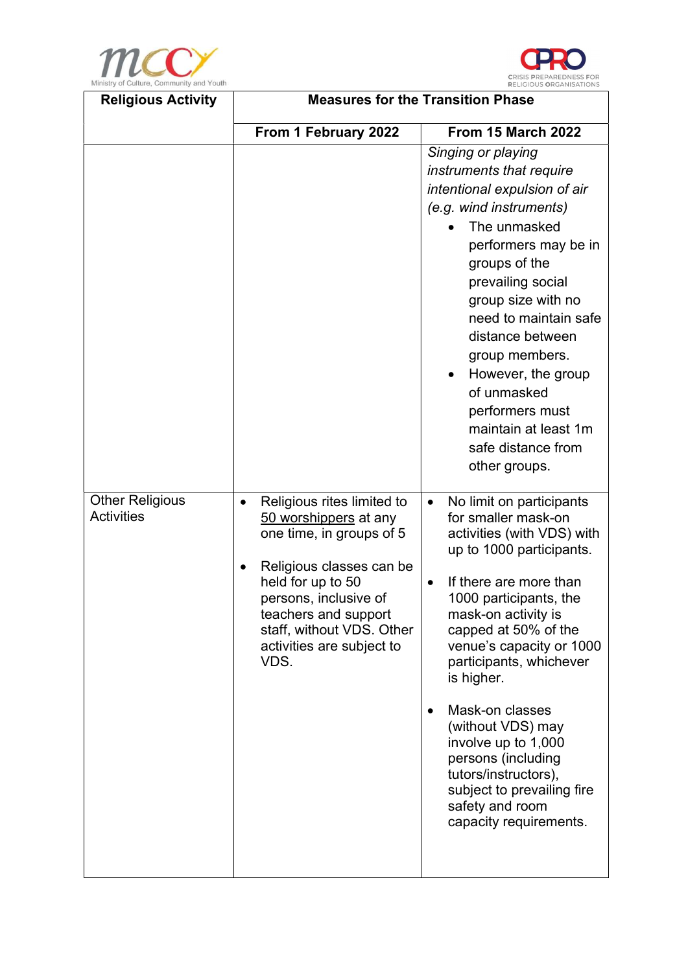



| <b>Religious Activity</b>                   | <b>Measures for the Transition Phase</b>                                                                                                                                                                                                                         |                                                                                                                                                                                                                                                                                                                                                                                                                                                                                        |  |
|---------------------------------------------|------------------------------------------------------------------------------------------------------------------------------------------------------------------------------------------------------------------------------------------------------------------|----------------------------------------------------------------------------------------------------------------------------------------------------------------------------------------------------------------------------------------------------------------------------------------------------------------------------------------------------------------------------------------------------------------------------------------------------------------------------------------|--|
|                                             | From 1 February 2022                                                                                                                                                                                                                                             | <b>From 15 March 2022</b>                                                                                                                                                                                                                                                                                                                                                                                                                                                              |  |
|                                             |                                                                                                                                                                                                                                                                  | Singing or playing<br>instruments that require<br>intentional expulsion of air<br>(e.g. wind instruments)<br>The unmasked<br>performers may be in<br>groups of the<br>prevailing social<br>group size with no<br>need to maintain safe<br>distance between<br>group members.<br>However, the group<br>$\bullet$<br>of unmasked<br>performers must<br>maintain at least 1m<br>safe distance from<br>other groups.                                                                       |  |
| <b>Other Religious</b><br><b>Activities</b> | Religious rites limited to<br>$\bullet$<br>50 worshippers at any<br>one time, in groups of 5<br>Religious classes can be<br>held for up to 50<br>persons, inclusive of<br>teachers and support<br>staff, without VDS. Other<br>activities are subject to<br>VDS. | No limit on participants<br>$\bullet$<br>for smaller mask-on<br>activities (with VDS) with<br>up to 1000 participants.<br>If there are more than<br>1000 participants, the<br>mask-on activity is<br>capped at 50% of the<br>venue's capacity or 1000<br>participants, whichever<br>is higher.<br>Mask-on classes<br>(without VDS) may<br>involve up to 1,000<br>persons (including<br>tutors/instructors),<br>subject to prevailing fire<br>safety and room<br>capacity requirements. |  |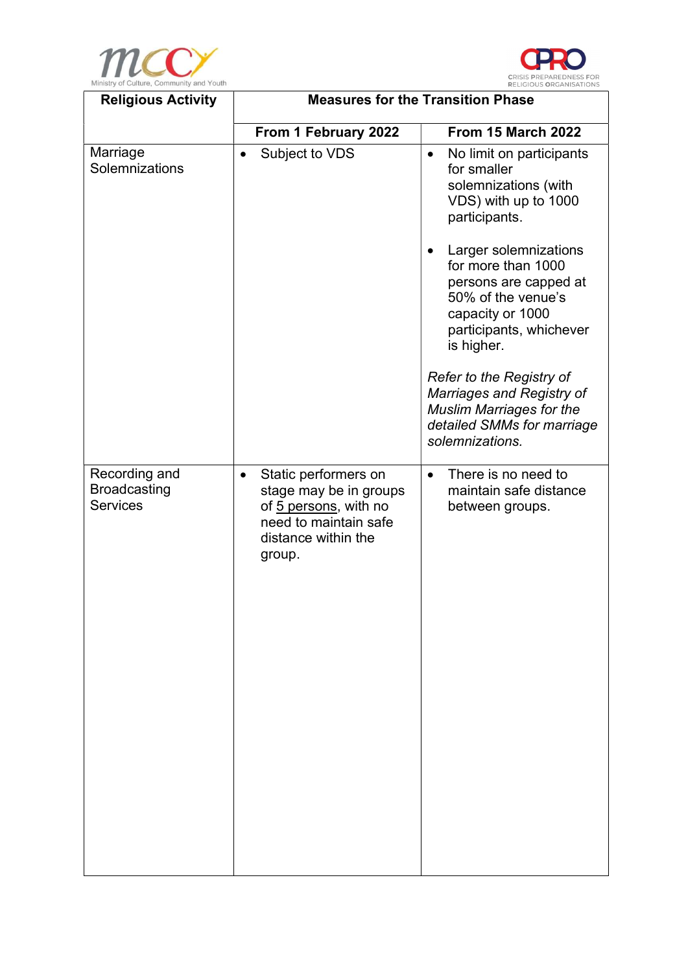



| <b>Religious Activity</b>                               | <b>Measures for the Transition Phase</b>                                                                                                       |                                                                                                                                                                                   |  |  |
|---------------------------------------------------------|------------------------------------------------------------------------------------------------------------------------------------------------|-----------------------------------------------------------------------------------------------------------------------------------------------------------------------------------|--|--|
|                                                         | From 1 February 2022                                                                                                                           | <b>From 15 March 2022</b>                                                                                                                                                         |  |  |
| Marriage<br>Solemnizations                              | Subject to VDS<br>$\bullet$                                                                                                                    | No limit on participants<br>$\bullet$<br>for smaller<br>solemnizations (with<br>VDS) with up to 1000<br>participants.<br>Larger solemnizations<br>$\bullet$<br>for more than 1000 |  |  |
|                                                         |                                                                                                                                                | persons are capped at<br>50% of the venue's<br>capacity or 1000<br>participants, whichever<br>is higher.                                                                          |  |  |
|                                                         |                                                                                                                                                | <b>Refer to the Registry of</b><br>Marriages and Registry of<br><b>Muslim Marriages for the</b><br>detailed SMMs for marriage<br>solemnizations.                                  |  |  |
| Recording and<br><b>Broadcasting</b><br><b>Services</b> | Static performers on<br>$\bullet$<br>stage may be in groups<br>of 5 persons, with no<br>need to maintain safe<br>distance within the<br>group. | There is no need to<br>$\bullet$<br>maintain safe distance<br>between groups.                                                                                                     |  |  |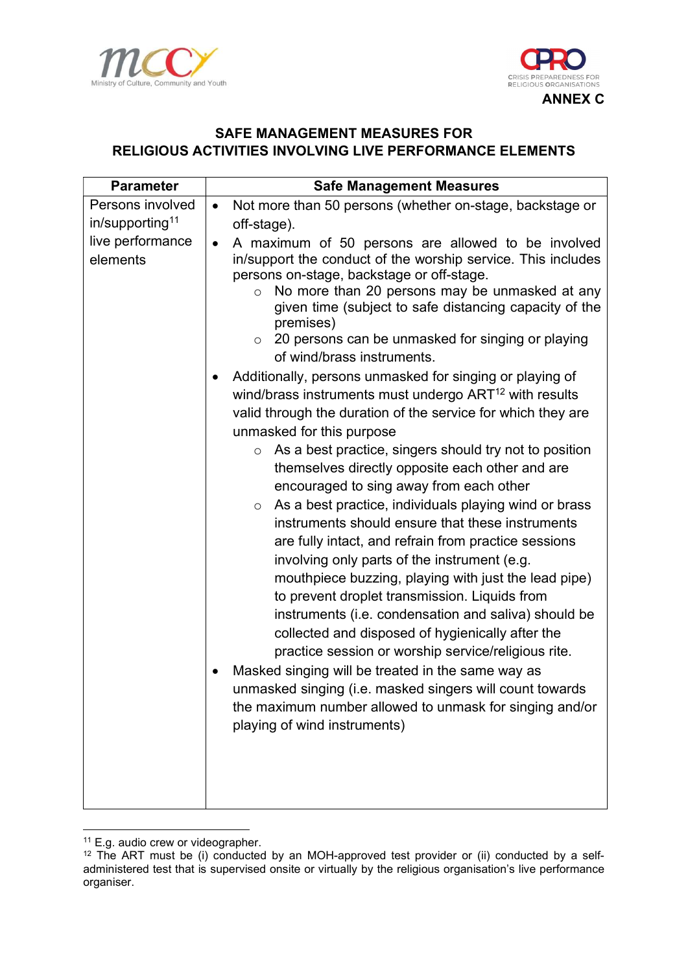



## SAFE MANAGEMENT MEASURES FOR RELIGIOUS ACTIVITIES INVOLVING LIVE PERFORMANCE ELEMENTS

| <b>Parameter</b>                                | <b>Safe Management Measures</b>                                                                                                                                                                                                                                                                                                                                                                                                                                                                                                                                                                                                                                                                                                                                                                                                                                                         |  |  |
|-------------------------------------------------|-----------------------------------------------------------------------------------------------------------------------------------------------------------------------------------------------------------------------------------------------------------------------------------------------------------------------------------------------------------------------------------------------------------------------------------------------------------------------------------------------------------------------------------------------------------------------------------------------------------------------------------------------------------------------------------------------------------------------------------------------------------------------------------------------------------------------------------------------------------------------------------------|--|--|
| Persons involved<br>in/supporting <sup>11</sup> | Not more than 50 persons (whether on-stage, backstage or<br>$\bullet$<br>off-stage).                                                                                                                                                                                                                                                                                                                                                                                                                                                                                                                                                                                                                                                                                                                                                                                                    |  |  |
| live performance<br>elements                    | A maximum of 50 persons are allowed to be involved<br>$\bullet$<br>in/support the conduct of the worship service. This includes<br>persons on-stage, backstage or off-stage.<br>No more than 20 persons may be unmasked at any<br>$\circ$<br>given time (subject to safe distancing capacity of the<br>premises)<br>$\circ$ 20 persons can be unmasked for singing or playing<br>of wind/brass instruments.<br>Additionally, persons unmasked for singing or playing of<br>wind/brass instruments must undergo ART <sup>12</sup> with results<br>valid through the duration of the service for which they are<br>unmasked for this purpose                                                                                                                                                                                                                                              |  |  |
|                                                 | As a best practice, singers should try not to position<br>$\circ$<br>themselves directly opposite each other and are<br>encouraged to sing away from each other<br>As a best practice, individuals playing wind or brass<br>$\circ$<br>instruments should ensure that these instruments<br>are fully intact, and refrain from practice sessions<br>involving only parts of the instrument (e.g.<br>mouthpiece buzzing, playing with just the lead pipe)<br>to prevent droplet transmission. Liquids from<br>instruments (i.e. condensation and saliva) should be<br>collected and disposed of hygienically after the<br>practice session or worship service/religious rite.<br>Masked singing will be treated in the same way as<br>unmasked singing (i.e. masked singers will count towards<br>the maximum number allowed to unmask for singing and/or<br>playing of wind instruments) |  |  |

<sup>&</sup>lt;sup>11</sup> E.g. audio crew or videographer.

 $12$  The ART must be (i) conducted by an MOH-approved test provider or (ii) conducted by a selfadministered test that is supervised onsite or virtually by the religious organisation's live performance organiser.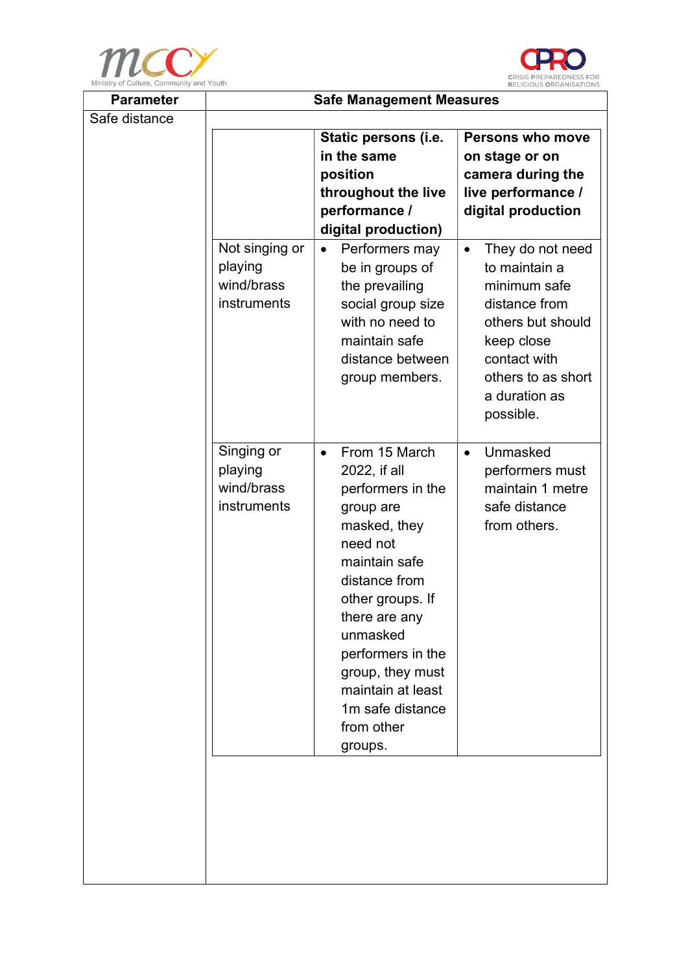



| <b>Parameter</b> | <b>Safe Management Measures</b> |                                       |                                    |  |
|------------------|---------------------------------|---------------------------------------|------------------------------------|--|
| Safe distance    |                                 |                                       |                                    |  |
|                  | Static persons (i.e.            |                                       | <b>Persons who move</b>            |  |
|                  | in the same                     |                                       | on stage or on                     |  |
|                  |                                 | position                              | camera during the                  |  |
|                  |                                 | throughout the live                   | live performance /                 |  |
|                  |                                 | performance /                         | digital production                 |  |
|                  |                                 | digital production)                   |                                    |  |
|                  | Not singing or                  | Performers may<br>$\bullet$           | They do not need<br>$\bullet$      |  |
|                  | playing<br>wind/brass           | be in groups of                       | to maintain a                      |  |
|                  | instruments                     | the prevailing                        | minimum safe                       |  |
|                  |                                 | social group size<br>with no need to  | distance from<br>others but should |  |
|                  |                                 | maintain safe                         | keep close                         |  |
|                  |                                 | distance between                      | contact with                       |  |
|                  |                                 | group members.                        | others to as short                 |  |
|                  |                                 |                                       | a duration as                      |  |
|                  |                                 |                                       | possible.                          |  |
|                  |                                 |                                       |                                    |  |
|                  | Singing or                      | From 15 March<br>$\bullet$            | Unmasked<br>$\bullet$              |  |
|                  | playing                         | 2022, if all                          | performers must                    |  |
|                  | wind/brass                      | performers in the                     | maintain 1 metre                   |  |
|                  | instruments                     | group are                             | safe distance                      |  |
|                  |                                 | masked, they                          | from others.                       |  |
|                  |                                 | need not                              |                                    |  |
|                  |                                 | maintain safe                         |                                    |  |
|                  |                                 | distance from                         |                                    |  |
|                  |                                 | other groups. If                      |                                    |  |
|                  |                                 | there are any                         |                                    |  |
|                  |                                 | unmasked                              |                                    |  |
|                  |                                 | performers in the                     |                                    |  |
|                  |                                 | group, they must                      |                                    |  |
|                  |                                 | maintain at least<br>1m safe distance |                                    |  |
|                  |                                 | from other                            |                                    |  |
|                  |                                 | groups.                               |                                    |  |
|                  |                                 |                                       |                                    |  |
|                  |                                 |                                       |                                    |  |
|                  |                                 |                                       |                                    |  |
|                  |                                 |                                       |                                    |  |
|                  |                                 |                                       |                                    |  |
|                  |                                 |                                       |                                    |  |
|                  |                                 |                                       |                                    |  |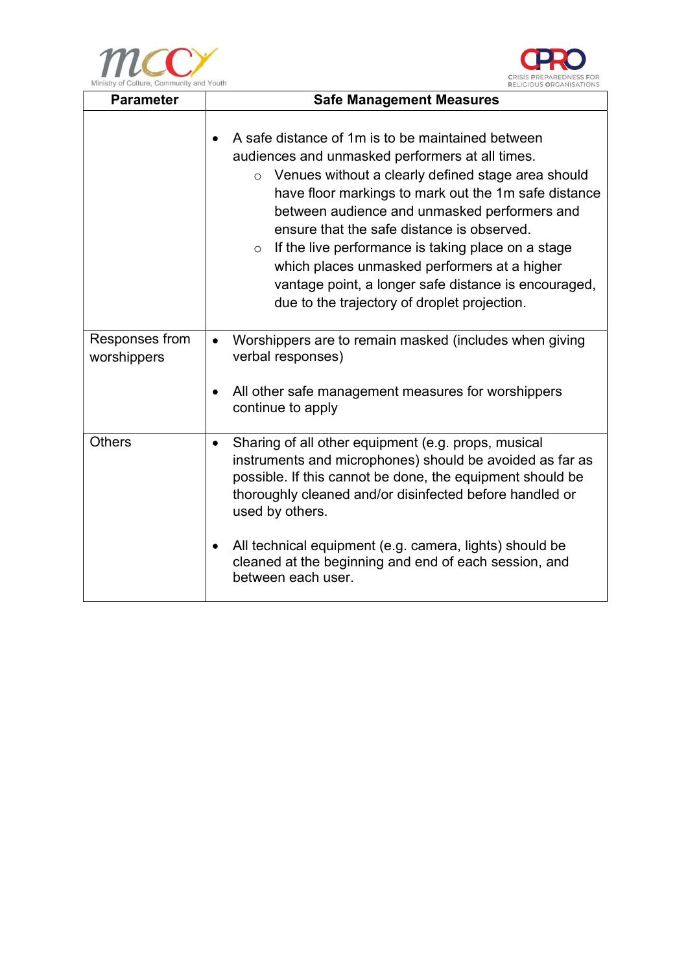



| <b>Parameter</b>              | <b>Safe Management Measures</b>                                                                                                                                                                                                                                                                                                                                                                                                                                                                                                                      |  |
|-------------------------------|------------------------------------------------------------------------------------------------------------------------------------------------------------------------------------------------------------------------------------------------------------------------------------------------------------------------------------------------------------------------------------------------------------------------------------------------------------------------------------------------------------------------------------------------------|--|
|                               | A safe distance of 1m is to be maintained between<br>audiences and unmasked performers at all times.<br>Venues without a clearly defined stage area should<br>$\circ$<br>have floor markings to mark out the 1m safe distance<br>between audience and unmasked performers and<br>ensure that the safe distance is observed.<br>If the live performance is taking place on a stage<br>$\circ$<br>which places unmasked performers at a higher<br>vantage point, a longer safe distance is encouraged,<br>due to the trajectory of droplet projection. |  |
| Responses from<br>worshippers | Worshippers are to remain masked (includes when giving<br>verbal responses)<br>All other safe management measures for worshippers<br>continue to apply                                                                                                                                                                                                                                                                                                                                                                                               |  |
| <b>Others</b>                 | Sharing of all other equipment (e.g. props, musical<br>$\bullet$<br>instruments and microphones) should be avoided as far as<br>possible. If this cannot be done, the equipment should be<br>thoroughly cleaned and/or disinfected before handled or<br>used by others.<br>All technical equipment (e.g. camera, lights) should be<br>cleaned at the beginning and end of each session, and<br>between each user.                                                                                                                                    |  |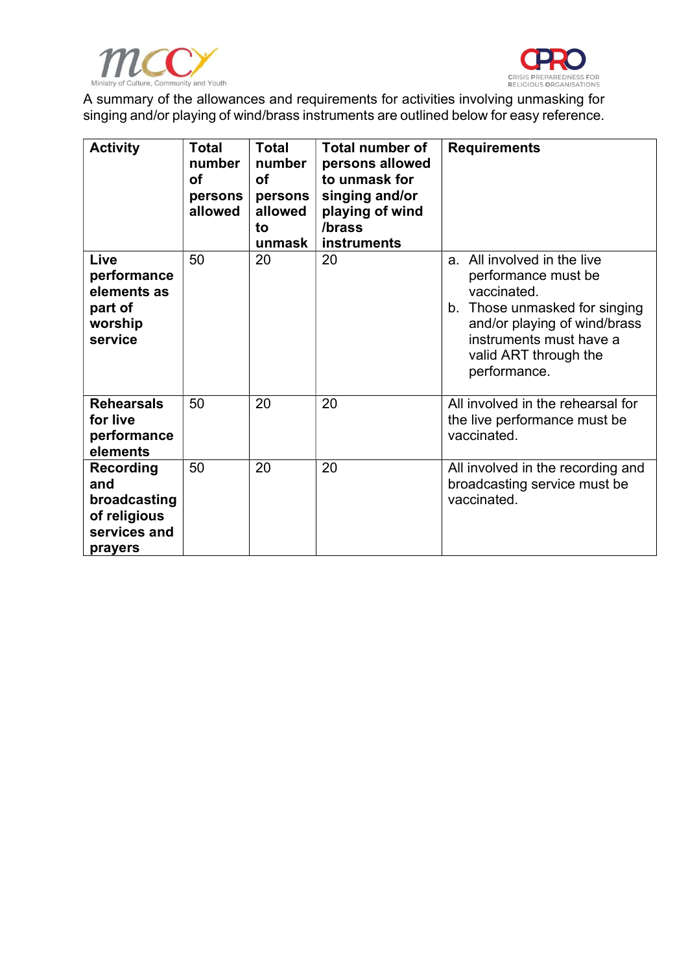



A summary of the allowances and requirements for activities involving unmasking for singing and/or playing of wind/brass instruments are outlined below for easy reference.

| <b>Activity</b>                                                                    | <b>Total</b><br>number<br><b>of</b><br>persons<br>allowed | <b>Total</b><br>number<br><b>of</b><br>persons<br>allowed<br>to<br>unmask | <b>Total number of</b><br>persons allowed<br>to unmask for<br>singing and/or<br>playing of wind<br>/brass<br><b>instruments</b> | <b>Requirements</b>                                                                                                                                                                                    |
|------------------------------------------------------------------------------------|-----------------------------------------------------------|---------------------------------------------------------------------------|---------------------------------------------------------------------------------------------------------------------------------|--------------------------------------------------------------------------------------------------------------------------------------------------------------------------------------------------------|
| Live<br>performance<br>elements as<br>part of<br>worship<br>service                | 50                                                        | 20                                                                        | 20                                                                                                                              | a. All involved in the live<br>performance must be<br>vaccinated.<br>b. Those unmasked for singing<br>and/or playing of wind/brass<br>instruments must have a<br>valid ART through the<br>performance. |
| <b>Rehearsals</b><br>for live<br>performance<br>elements                           | 50                                                        | 20                                                                        | 20                                                                                                                              | All involved in the rehearsal for<br>the live performance must be<br>vaccinated.                                                                                                                       |
| <b>Recording</b><br>and<br>broadcasting<br>of religious<br>services and<br>prayers | 50                                                        | 20                                                                        | 20                                                                                                                              | All involved in the recording and<br>broadcasting service must be<br>vaccinated.                                                                                                                       |